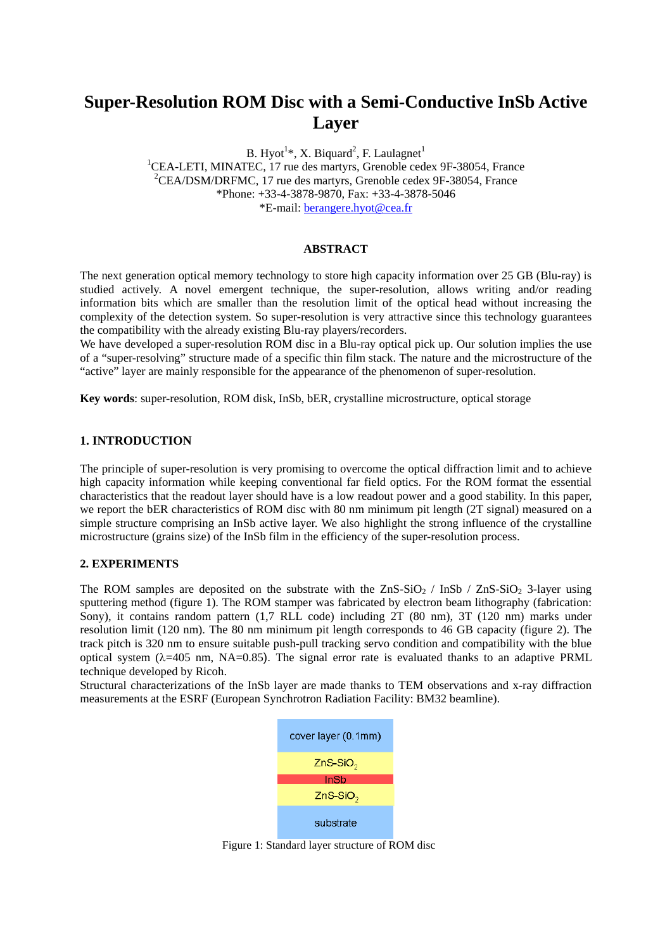# **Super-Resolution ROM Disc with a Semi-Conductive InSb Active Layer**

B. Hyot<sup>1\*</sup>, X. Biquard<sup>2</sup>, F. Laulagnet<sup>1</sup> B. Hyot<sup>1\*</sup>, X. Biquard<sup>2</sup>, F. Laulagnet<sup>1</sup><br><sup>1</sup>CEA-LETI, MINATEC, 17 rue des martyrs, Grenoble cedex 9F-38054, France 2 CEA/DSM/DRFMC, 17 rue des martyrs, Grenoble cedex 9F-38054, France \*Phone: +33-4-3878-9870, Fax: +33-4-3878-5046 \*E-mail: [berangere.hyot@cea.fr](mailto:berangere.hyot@cea.fr)

#### **ABSTRACT**

The next generation optical memory technology to store high capacity information over 25 GB (Blu-ray) is studied actively. A novel emergent technique, the super-resolution, allows writing and/or reading information bits which are smaller than the resolution limit of the optical head without increasing the complexity of the detection system. So super-resolution is very attractive since this technology guarantees the compatibility with the already existing Blu-ray players/recorders.

We have developed a super-resolution ROM disc in a Blu-ray optical pick up. Our solution implies the use of a "super-resolving" structure made of a specific thin film stack. The nature and the microstructure of the "active" layer are mainly responsible for the appearance of the phenomenon of super-resolution.

**Key words**: super-resolution, ROM disk, InSb, bER, crystalline microstructure, optical storage

## **1. INTRODUCTION**

The principle of super-resolution is very promising to overcome the optical diffraction limit and to achieve high capacity information while keeping conventional far field optics. For the ROM format the essential characteristics that the readout layer should have is a low readout power and a good stability. In this paper, we report the bER characteristics of ROM disc with 80 nm minimum pit length (2T signal) measured on a simple structure comprising an InSb active layer. We also highlight the strong influence of the crystalline microstructure (grains size) of the InSb film in the efficiency of the super-resolution process.

### **2. EXPERIMENTS**

The ROM samples are deposited on the substrate with the  $ZnS-SiO<sub>2</sub> / InSb / ZnS-SiO<sub>2</sub> 3-layer using$ sputtering method (figure 1). The ROM stamper was fabricated by electron beam lithography (fabrication: Sony), it contains random pattern (1,7 RLL code) including 2T (80 nm), 3T (120 nm) marks under resolution limit (120 nm). The 80 nm minimum pit length corresponds to 46 GB capacity (figure 2). The track pitch is 320 nm to ensure suitable push-pull tracking servo condition and compatibility with the blue optical system ( $\lambda$ =405 nm, NA=0.85). The signal error rate is evaluated thanks to an adaptive PRML technique developed by Ricoh.

Structural characterizations of the InSb layer are made thanks to TEM observations and x-ray diffraction measurements at the ESRF (European Synchrotron Radiation Facility: BM32 beamline).



Figure 1: Standard layer structure of ROM disc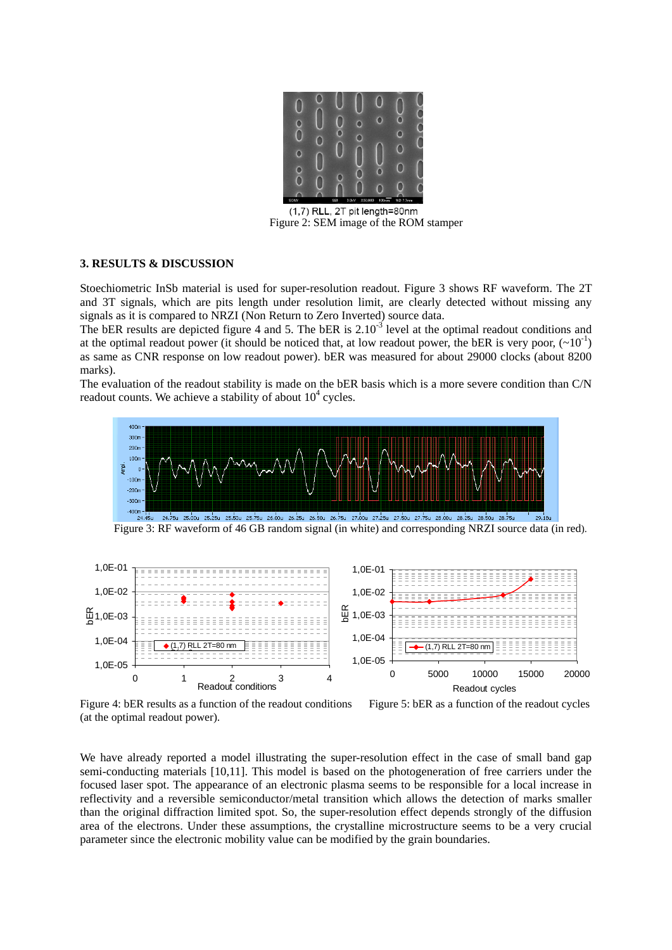

(1,7) RLL, 2T pit length=80nm Figure 2: SEM image of the ROM stamper

### **3. RESULTS & DISCUSSION**

Stoechiometric InSb material is used for super-resolution readout. Figure 3 shows RF waveform. The 2T and 3T signals, which are pits length under resolution limit, are clearly detected without missing any signals as it is compared to NRZI (Non Return to Zero Inverted) source data.

The bER results are depicted figure 4 and 5. The bER is 2.10<sup>-3</sup> level at the optimal readout conditions and at the optimal readout power (it should be noticed that, at low readout power, the bER is very poor,  $(\sim 10^{-1})$ ) as same as CNR response on low readout power). bER was measured for about 29000 clocks (about 8200 marks).

The evaluation of the readout stability is made on the bER basis which is a more severe condition than C/N readout counts. We achieve a stability of about  $10^4$  cycles.



Figure 3: RF waveform of 46 GB random signal (in white) and corresponding NRZI source data (in red).



Figure 4: bER results as a function of the readout conditions Figure 5: bER as a function of the readout cycles (at the optimal readout power).

We have already reported a model illustrating the super-resolution effect in the case of small band gap semi-conducting materials [10,11]. This model is based on the photogeneration of free carriers under the focused laser spot. The appearance of an electronic plasma seems to be responsible for a local increase in reflectivity and a reversible semiconductor/metal transition which allows the detection of marks smaller than the original diffraction limited spot. So, the super-resolution effect depends strongly of the diffusion area of the electrons. Under these assumptions, the crystalline microstructure seems to be a very crucial parameter since the electronic mobility value can be modified by the grain boundaries.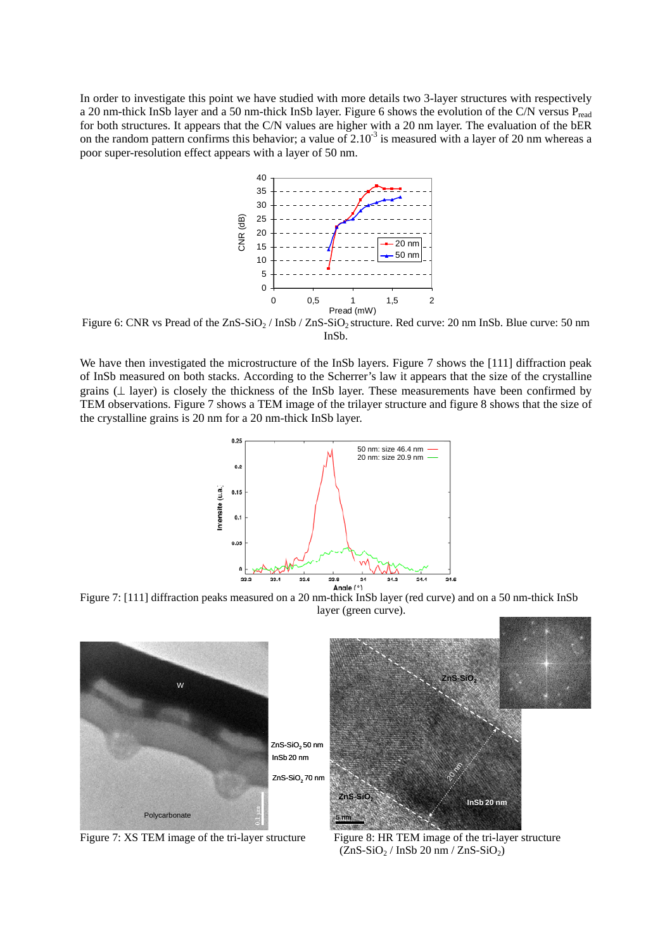In order to investigate this point we have studied with more details two 3-layer structures with respectively a 20 nm-thick InSb layer and a 50 nm-thick InSb layer. Figure 6 shows the evolution of the C/N versus  $P_{\text{read}}$ for both structures. It appears that the C/N values are higher with a 20 nm layer. The evaluation of the bER on the random pattern confirms this behavior; a value of  $2.10^{-3}$  is measured with a layer of 20 nm whereas a poor super-resolution effect appears with a layer of 50 nm.



Figure 6: CNR vs Pread of the  $ZnS-SiO<sub>2</sub>$  / InSb /  $ZnS-SiO<sub>2</sub>$  structure. Red curve: 20 nm InSb. Blue curve: 50 nm InSb.

TEM observations. Figure 7 shows a TEM image of the trilayer structure and figure 8 shows that the size of the crystalline grains is 20 nm for a 20 nm-thick InSb layer. We have then investigated the microstructure of the InSb layers. Figure 7 shows the [111] diffraction peak of InSb measured on both stacks. According to the Scherrer's law it appears that the size of the crystalline grains (⊥ layer) is closely the thickness of the InSb layer. These measurements have been confirmed by



Figure 7: [111] diffraction peaks measured on a 20 nm-thick InSb layer (red curve) and on a 50 nm-thick InSb layer (green curve).



Figure 7: XS TEM image of the tri-layer structure

 $(ZnS-SiO<sub>2</sub> / InSb 20 nm / ZnS-SiO<sub>2</sub>)$ Figure 8: HR TEM image of the tri-layer structure